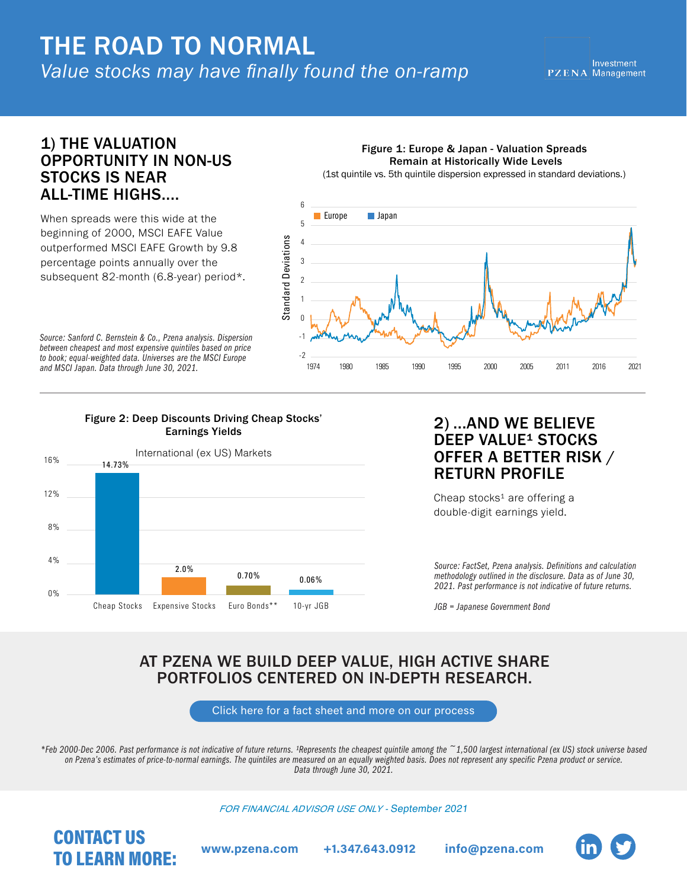# *Value stocks may have finally found the on-ramp* THE ROAD TO NORMAL

## 1) THE VALUATION OPPORTUNITY IN NON-US STOCKS IS NEAR ALL-TIME HIGHS....

When spreads were this wide at the beginning of 2000, MSCI EAFE Value outperformed MSCI EAFE Growth by 9.8 percentage points annually over the subsequent 82-month (6.8-year) period\*.

*Source: Sanford C. Bernstein & Co., Pzena analysis. Dispersion between cheapest and most expensive quintiles based on price to book; equal-weighted data. Universes are the MSCI Europe and MSCI Japan. Data through June 30, 2021.*

#### Figure 2: Deep Discounts Driving Cheap Stocks' Earnings Yields



## 2) ...AND WE BELIEVE DEEP VALUE<sup>1</sup> STOCKS OFFER A BETTER RISK / RETURN PROFILE

Cheap stocks<sup>1</sup> are offering a double-digit earnings yield.

Figure 1: Europe & Japan - Valuation Spreads Remain at Historically Wide Levels (1st quintile vs. 5th quintile dispersion expressed in standard deviations.)

1974 1980 1985 1990 1995 2000 2005 2011 2016 2021

*Source: FactSet, Pzena analysis. Definitions and calculation methodology outlined in the disclosure. Data as of June 30, 2021. Past performance is not indicative of future returns.* 

*JGB = Japanese Government Bond*

## AT PZENA WE BUILD DEEP VALUE, HIGH ACTIVE SHARE PORTFOLIOS CENTERED ON IN-DEPTH RESEARCH.

Standard Deviations

Standard Deviations

**Europe Japan** 

[Click here for a fact sheet and more on our process](https://www.pzena.com/ip/investments/international-value/)

*\*Feb 2000-Dec 2006. Past performance is not indicative of future returns. ¹Represents the cheapest quintile among the ~1,500 largest international (ex US) stock universe based on Pzena's estimates of price-to-normal earnings. The quintiles are measured on an equally weighted basis. Does not represent any specific Pzena product or service. Data through June 30, 2021.*

*FOR FINANCIAL ADVISOR USE ONLY -* September 2021